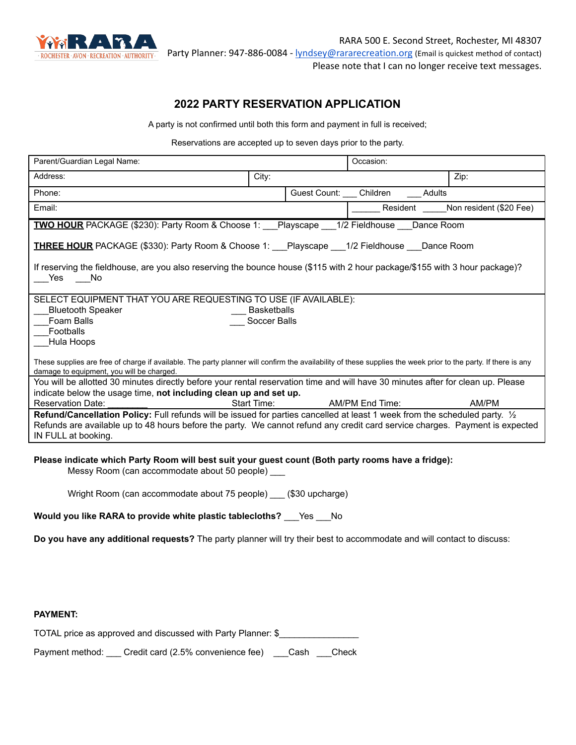

RARA 500 E. Second Street, Rochester, MI 48307 Party Planner: 947-886-0084 - [lyndsey@rararecreation.org](mailto:lyndsey@rararecreation.org) (Email is quickest method of contact)

Please note that I can no longer receive text messages.

# **2022 PARTY RESERVATION APPLICATION**

A party is not confirmed until both this form and payment in full is received;

Reservations are accepted up to seven days prior to the party.

| Parent/Guardian Legal Name:                                                                                                                                                                                 |                                    | Occasion:                   |        |                                  |  |
|-------------------------------------------------------------------------------------------------------------------------------------------------------------------------------------------------------------|------------------------------------|-----------------------------|--------|----------------------------------|--|
| Address:                                                                                                                                                                                                    | City:                              |                             |        | Zip:                             |  |
| Phone:                                                                                                                                                                                                      |                                    | Guest Count: Children       | Adults |                                  |  |
| Email:                                                                                                                                                                                                      |                                    |                             |        | Resident Non resident (\$20 Fee) |  |
| TWO HOUR PACKAGE (\$230): Party Room & Choose 1: Playscape 1/2 Fieldhouse Dance Room                                                                                                                        |                                    |                             |        |                                  |  |
| <b>THREE HOUR</b> PACKAGE (\$330): Party Room & Choose 1: Playscape 1/2 Fieldhouse Dance Room                                                                                                               |                                    |                             |        |                                  |  |
| If reserving the fieldhouse, are you also reserving the bounce house (\$115 with 2 hour package/\$155 with 3 hour package)?<br>Yes<br>i No                                                                  |                                    |                             |        |                                  |  |
| SELECT EQUIPMENT THAT YOU ARE REQUESTING TO USE (IF AVAILABLE):                                                                                                                                             |                                    |                             |        |                                  |  |
| <b>Bluetooth Speaker</b><br>Foam Balls                                                                                                                                                                      | <b>Basketballs</b><br>Soccer Balls |                             |        |                                  |  |
| Footballs                                                                                                                                                                                                   |                                    |                             |        |                                  |  |
| Hula Hoops                                                                                                                                                                                                  |                                    |                             |        |                                  |  |
| These supplies are free of charge if available. The party planner will confirm the availability of these supplies the week prior to the party. If there is any<br>damage to equipment, you will be charged. |                                    |                             |        |                                  |  |
| You will be allotted 30 minutes directly before your rental reservation time and will have 30 minutes after for clean up. Please                                                                            |                                    |                             |        |                                  |  |
| indicate below the usage time, not including clean up and set up.                                                                                                                                           |                                    |                             |        |                                  |  |
| <b>Reservation Date:</b>                                                                                                                                                                                    |                                    | Start Time: AM/PM End Time: |        | AM/PM                            |  |
| Refund/Cancellation Policy: Full refunds will be issued for parties cancelled at least 1 week from the scheduled party. $\frac{1}{2}$                                                                       |                                    |                             |        |                                  |  |
| Refunds are available up to 48 hours before the party. We cannot refund any credit card service charges. Payment is expected<br>IN FULL at booking.                                                         |                                    |                             |        |                                  |  |
|                                                                                                                                                                                                             |                                    |                             |        |                                  |  |
| Please indicate which Party Room will best suit your guest count (Both party rooms have a fridge):                                                                                                          |                                    |                             |        |                                  |  |

Messy Room (can accommodate about 50 people) \_\_\_

Wright Room (can accommodate about 75 people) \_\_\_ (\$30 upcharge)

| Would you like RARA to provide white plastic tablecloths?<br>Yes | - No |
|------------------------------------------------------------------|------|
|------------------------------------------------------------------|------|

**Do you have any additional requests?** The party planner will try their best to accommodate and will contact to discuss:

## **PAYMENT:**

| TOTAL price as approved and discussed with Party Planner: \$ |  |
|--------------------------------------------------------------|--|
|--------------------------------------------------------------|--|

Payment method: Credit card (2.5% convenience fee) Cash Check